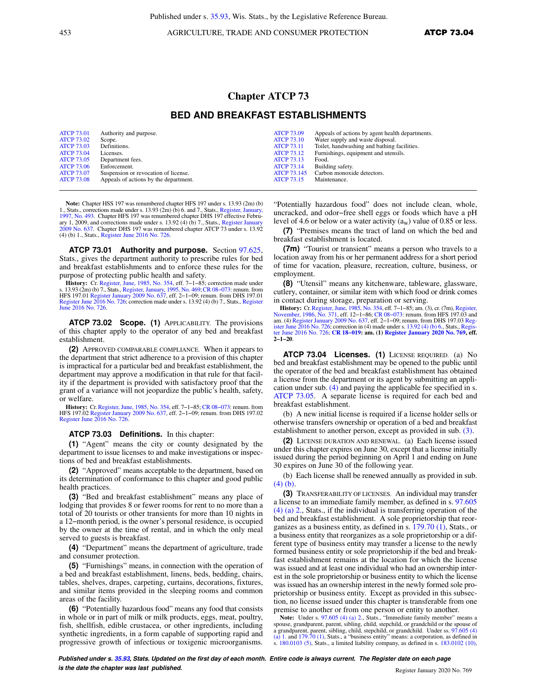Published under s. [35.93](https://docs.legis.wisconsin.gov/document/statutes/35.93), Wis. Stats., by the Legislative Reference Bureau.

453 AGRICULTURE, TRADE AND CONSUMER PROTECTION **ATCP 73.04** 

## **Chapter ATCP 73**

## **BED AND BREAKFAST ESTABLISHMENTS**

| <b>ATCP 73.01</b> | Authority and purpose.                | <b>ATCP 73.09</b>  | Appeals of actions by agent health departments. |
|-------------------|---------------------------------------|--------------------|-------------------------------------------------|
| <b>ATCP 73.02</b> | Scope.                                | <b>ATCP 73.10</b>  | Water supply and waste disposal.                |
| <b>ATCP 73.03</b> | Definitions.                          | <b>ATCP 73.11</b>  | Toilet, handwashing and bathing facilities.     |
| <b>ATCP 73.04</b> | Licenses.                             | <b>ATCP 73.12</b>  | Furnishings, equipment and utensils.            |
| <b>ATCP 73.05</b> | Department fees.                      | <b>ATCP 73.13</b>  | Food.                                           |
| <b>ATCP 73.06</b> | Enforcement.                          | <b>ATCP 73.14</b>  | Building safety.                                |
| <b>ATCP 73.07</b> | Suspension or revocation of license.  | <b>ATCP 73.145</b> | Carbon monoxide detectors.                      |
| <b>ATCP 73.08</b> | Appeals of actions by the department. | <b>ATCP 73.15</b>  | Maintenance.                                    |

**Note:** Chapter HSS 197 was renumbered chapter HFS 197 under s. 13.93 (2m) (b) 1., Stats., corrections made under s. 13.93 (2m) (b) 6. and 7., Stats., Register, January [1997, No. 493.](https://docs.legis.wisconsin.gov/document/register/493/B/toc) Chapter HFS 197 was renumbered chapter DHS 197 effective February 1, 2009, and corrections made under s. 13.92 (4) (b) 7., Stats., [Register January](https://docs.legis.wisconsin.gov/document/register/637/B/toc) [2009 No. 637](https://docs.legis.wisconsin.gov/document/register/637/B/toc). Chapter DHS 197 was renumbered chapter ATCP 73 under s. 13.92 (4) (b) 1., Stats., [Register June 2016 No. 726](https://docs.legis.wisconsin.gov/document/register/726/B/toc).

**ATCP 73.01 Authority and purpose.** Section [97.625,](https://docs.legis.wisconsin.gov/document/statutes/97.625) Stats., gives the department authority to prescribe rules for bed and breakfast establishments and to enforce these rules for the purpose of protecting public health and safety.

**History:** Cr. [Register, June, 1985, No. 354,](https://docs.legis.wisconsin.gov/document/register/354/B/toc) eff. 7–1–85; correction made under<br>s. 13.93 (2m) (b) 7., Stats, [Register, January, 1995, No. 469](https://docs.legis.wisconsin.gov/document/register/469/B/toc); CR 08–073: renum. from<br>HFS 197.01 [Register January 2009 No. 637](https://docs.legis.wisconsin.gov/document/register/637/B/toc), eff. 2–1–09; [June 2016 No. 726.](https://docs.legis.wisconsin.gov/document/register/726/B/toc)

**ATCP 73.02 Scope. (1)** APPLICABILITY. The provisions of this chapter apply to the operator of any bed and breakfast establishment.

**(2)** APPROVED COMPARABLE COMPLIANCE. When it appears to the department that strict adherence to a provision of this chapter is impractical for a particular bed and breakfast establishment, the department may approve a modification in that rule for that facility if the department is provided with satisfactory proof that the grant of a variance will not jeopardize the public's health, safety, or welfare.

**History:** Cr. [Register, June, 1985, No. 354,](https://docs.legis.wisconsin.gov/document/register/354/B/toc) eff. 7−1−85; [CR 08−073](https://docs.legis.wisconsin.gov/document/cr/2008/73): renum. from HFS 197.02 [Register January 2009 No. 637](https://docs.legis.wisconsin.gov/document/register/637/B/toc), eff. 2−1−09; renum. from DHS 197.02 [Register June 2016 No. 726.](https://docs.legis.wisconsin.gov/document/register/726/B/toc)

## **ATCP 73.03 Definitions.** In this chapter:

**(1)** "Agent" means the city or county designated by the department to issue licenses to and make investigations or inspections of bed and breakfast establishments.

**(2)** "Approved" means acceptable to the department, based on its determination of conformance to this chapter and good public health practices.

**(3)** "Bed and breakfast establishment" means any place of lodging that provides 8 or fewer rooms for rent to no more than a total of 20 tourists or other transients for more than 10 nights in a 12−month period, is the owner's personal residence, is occupied by the owner at the time of rental, and in which the only meal served to guests is breakfast.

**(4)** "Department" means the department of agriculture, trade and consumer protection.

**(5)** "Furnishings" means, in connection with the operation of a bed and breakfast establishment, linens, beds, bedding, chairs, tables, shelves, drapes, carpeting, curtains, decorations, fixtures, and similar items provided in the sleeping rooms and common areas of the facility.

**(6)** "Potentially hazardous food" means any food that consists in whole or in part of milk or milk products, eggs, meat, poultry, fish, shellfish, edible crustacea, or other ingredients, including synthetic ingredients, in a form capable of supporting rapid and progressive growth of infectious or toxigenic microorganisms.

"Potentially hazardous food" does not include clean, whole, uncracked, and odor−free shell eggs or foods which have a pH level of 4.6 or below or a water activity  $(a_w)$  value of 0.85 or less.

**(7)** "Premises means the tract of land on which the bed and breakfast establishment is located.

**(7m)** "Tourist or transient" means a person who travels to a location away from his or her permanent address for a short period of time for vacation, pleasure, recreation, culture, business, or employment.

**(8)** "Utensil" means any kitchenware, tableware, glassware, cutlery, container, or similar item with which food or drink comes in contact during storage, preparation or serving.

**History:** Cr. [Register, June, 1985, No. 354,](https://docs.legis.wisconsin.gov/document/register/354/B/toc) eff. 7−1−85; am. (3), cr. (7m), [Register,](https://docs.legis.wisconsin.gov/document/register/371/B/toc) [November, 1986, No. 371,](https://docs.legis.wisconsin.gov/document/register/371/B/toc) eff. 12–1–86; CR 08–073: renum. from HFS 197.03 and am. (4) [Register January 2009 No. 637](https://docs.legis.wisconsin.gov/document/register/637/B/toc), eff. 2−1−09; renum. from DHS 197.03 [Reg-](https://docs.legis.wisconsin.gov/document/register/726/B/toc)[ister June 2016 No. 726](https://docs.legis.wisconsin.gov/document/register/726/B/toc); correction in (4) made under s. [13.92 \(4\) \(b\) 6.,](https://docs.legis.wisconsin.gov/document/statutes/13.92(4)(b)6.) Stats., [Regis](https://docs.legis.wisconsin.gov/document/register/726/B/toc)[ter June 2016 No. 726;](https://docs.legis.wisconsin.gov/document/register/726/B/toc) **[CR 18−019:](https://docs.legis.wisconsin.gov/document/cr/2018/19) am. (1) [Register January 2020 No. 769](https://docs.legis.wisconsin.gov/document/register/769/B/toc), eff. 2−1−20**.

**ATCP 73.04 Licenses. (1)** LICENSE REQUIRED. (a) No bed and breakfast establishment may be opened to the public until the operator of the bed and breakfast establishment has obtained a license from the department or its agent by submitting an application under sub. [\(4\)](https://docs.legis.wisconsin.gov/document/administrativecode/ATCP%2073.04(4)) and paying the applicable fee specified in s. [ATCP 73.05.](https://docs.legis.wisconsin.gov/document/administrativecode/ATCP%2073.05) A separate license is required for each bed and breakfast establishment.

(b) A new initial license is required if a license holder sells or otherwise transfers ownership or operation of a bed and breakfast establishment to another person, except as provided in sub. [\(3\).](https://docs.legis.wisconsin.gov/document/administrativecode/ATCP%2073.04(3))

**(2)** LICENSE DURATION AND RENEWAL. (a) Each license issued under this chapter expires on June 30, except that a license initially issued during the period beginning on April 1 and ending on June 30 expires on June 30 of the following year.

(b) Each license shall be renewed annually as provided in sub. [\(4\) \(b\)](https://docs.legis.wisconsin.gov/document/administrativecode/ATCP%2073.04(4)(b)).

**(3)** TRANSFERABILITY OF LICENSES. An individual may transfer a license to an immediate family member, as defined in s. [97.605](https://docs.legis.wisconsin.gov/document/statutes/97.605(4)(a)2.) [\(4\) \(a\) 2.](https://docs.legis.wisconsin.gov/document/statutes/97.605(4)(a)2.), Stats., if the individual is transferring operation of the bed and breakfast establishment. A sole proprietorship that reorganizes as a business entity, as defined in s. [179.70 \(1\)](https://docs.legis.wisconsin.gov/document/statutes/179.70(1)), Stats., or a business entity that reorganizes as a sole proprietorship or a different type of business entity may transfer a license to the newly formed business entity or sole proprietorship if the bed and breakfast establishment remains at the location for which the license was issued and at least one individual who had an ownership interest in the sole proprietorship or business entity to which the license was issued has an ownership interest in the newly formed sole proprietorship or business entity. Except as provided in this subsection, no license issued under this chapter is transferable from one premise to another or from one person or entity to another.

Note: Under s. [97.605 \(4\) \(a\) 2.,](https://docs.legis.wisconsin.gov/document/statutes/97.605(4)(a)2.) Stats., "Immediate family member" means a spouse, grandparent, parent, sibling, child, stepchild, or grandchild or the spouse of<br>a grandparent, parent, sibling, child, stepchild, or grandchild. Under ss. [97.605 \(4\)](https://docs.legis.wisconsin.gov/document/statutes/97.605(4)(a)1.)<br>[\(a\) 1.](https://docs.legis.wisconsin.gov/document/statutes/97.605(4)(a)1.) and [179.70 \(1\),](https://docs.legis.wisconsin.gov/document/statutes/179.70(1)) Stats., a "business entity s. [180.0103 \(5\)](https://docs.legis.wisconsin.gov/document/statutes/180.0103(5)), Stats., a limited liability company, as defined in s. [183.0102 \(10\)](https://docs.legis.wisconsin.gov/document/statutes/183.0102(10)),

**Published under s. [35.93,](https://docs.legis.wisconsin.gov/document/statutes/35.93) Stats. Updated on the first day of each month. Entire code is always current. The Register date on each page is the date the chapter was last published. is the date the chapter was last published.** Register January 2020 No. 769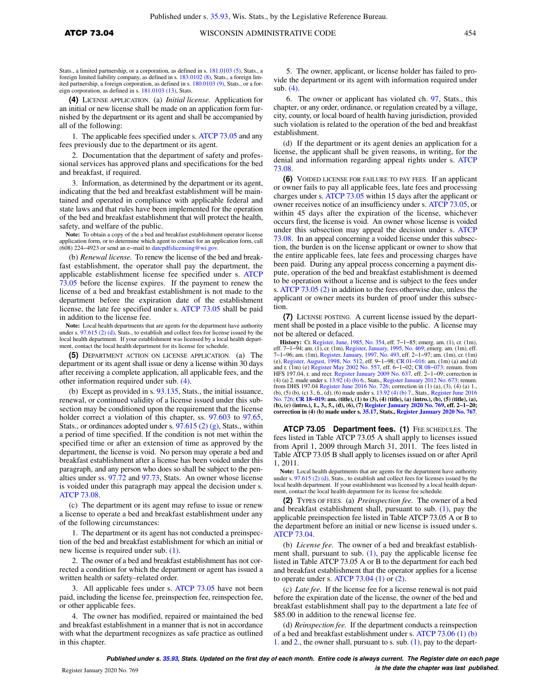**(4)** LICENSE APPLICATION. (a) *Initial license.* Application for an initial or new license shall be made on an application form furnished by the department or its agent and shall be accompanied by all of the following:

1. The applicable fees specified under s. [ATCP 73.05](https://docs.legis.wisconsin.gov/document/administrativecode/ATCP%2073.05) and any fees previously due to the department or its agent.

2. Documentation that the department of safety and professional services has approved plans and specifications for the bed and breakfast, if required.

3. Information, as determined by the department or its agent, indicating that the bed and breakfast establishment will be maintained and operated in compliance with applicable federal and state laws and that rules have been implemented for the operation of the bed and breakfast establishment that will protect the health, safety, and welfare of the public.

**Note:** To obtain a copy of the a bed and breakfast establishment operator license application form, or to determine which agent to contact for an application form, call (608) 224−4923 or send an e−mail to [datcpdfslicensing@wi.gov.](mailto:datcpdfslicensing@wi.gov)

(b) *Renewal license.* To renew the license of the bed and breakfast establishment, the operator shall pay the department, the applicable establishment license fee specified under s. [ATCP](https://docs.legis.wisconsin.gov/document/administrativecode/ATCP%2073.05) [73.05](https://docs.legis.wisconsin.gov/document/administrativecode/ATCP%2073.05) before the license expires. If the payment to renew the license of a bed and breakfast establishment is not made to the department before the expiration date of the establishment license, the late fee specified under s. [ATCP 73.05](https://docs.legis.wisconsin.gov/document/administrativecode/ATCP%2073.05) shall be paid in addition to the license fee.

**Note:** Local health departments that are agents for the department have authority under s.  $97.615$  (2) (d), Stats., to establish and collect fees for license issued by the local health department. If your establishment was licensed by a local health department, contact the local health department for its license fee schedule.

**(5)** DEPARTMENT ACTION ON LICENSE APPLICATION. (a) The department or its agent shall issue or deny a license within 30 days after receiving a complete application, all applicable fees, and the other information required under sub. [\(4\).](https://docs.legis.wisconsin.gov/document/administrativecode/ATCP%2073.04(4))

(b) Except as provided in s. [93.135,](https://docs.legis.wisconsin.gov/document/statutes/93.135) Stats., the initial issuance, renewal, or continued validity of a license issued under this subsection may be conditioned upon the requirement that the license holder correct a violation of this chapter, ss. [97.603](https://docs.legis.wisconsin.gov/document/statutes/97.603) to [97.65,](https://docs.legis.wisconsin.gov/document/statutes/97.65) Stats., or ordinances adopted under s.  $97.615$  (2) (g), Stats., within a period of time specified. If the condition is not met within the specified time or after an extension of time as approved by the department, the license is void. No person may operate a bed and breakfast establishment after a license has been voided under this paragraph, and any person who does so shall be subject to the penalties under ss. [97.72](https://docs.legis.wisconsin.gov/document/statutes/97.72) and [97.73](https://docs.legis.wisconsin.gov/document/statutes/97.73), Stats. An owner whose license is voided under this paragraph may appeal the decision under s. [ATCP 73.08](https://docs.legis.wisconsin.gov/document/administrativecode/ATCP%2073.08).

(c) The department or its agent may refuse to issue or renew a license to operate a bed and breakfast establishment under any of the following circumstances:

1. The department or its agent has not conducted a preinspection of the bed and breakfast establishment for which an initial or new license is required under sub. [\(1\).](https://docs.legis.wisconsin.gov/document/administrativecode/ATCP%2073.04(1))

2. The owner of a bed and breakfast establishment has not corrected a condition for which the department or agent has issued a written health or safety–related order.

3. All applicable fees under s. [ATCP 73.05](https://docs.legis.wisconsin.gov/document/administrativecode/ATCP%2073.05) have not been paid, including the license fee, preinspection fee, reinspection fee, or other applicable fees.

4. The owner has modified, repaired or maintained the bed and breakfast establishment in a manner that is not in accordance with what the department recognizes as safe practice as outlined in this chapter.

5. The owner, applicant, or license holder has failed to provide the department or its agent with information required under sub. [\(4\).](https://docs.legis.wisconsin.gov/document/administrativecode/ATCP%2073.04(4))

6. The owner or applicant has violated ch. [97](https://docs.legis.wisconsin.gov/document/statutes/ch.%2097), Stats., this chapter, or any order, ordinance, or regulation created by a village, city, county, or local board of health having jurisdiction, provided such violation is related to the operation of the bed and breakfast establishment.

(d) If the department or its agent denies an application for a license, the applicant shall be given reasons, in writing, for the denial and information regarding appeal rights under s. [ATCP](https://docs.legis.wisconsin.gov/document/administrativecode/ATCP%2073.08) [73.08.](https://docs.legis.wisconsin.gov/document/administrativecode/ATCP%2073.08)

**(6)** VOIDED LICENSE FOR FAILURE TO PAY FEES. If an applicant or owner fails to pay all applicable fees, late fees and processing charges under s. [ATCP 73.05](https://docs.legis.wisconsin.gov/document/administrativecode/ATCP%2073.05) within 15 days after the applicant or owner receives notice of an insufficiency under s. [ATCP 73.05,](https://docs.legis.wisconsin.gov/document/administrativecode/ATCP%2073.05) or within 45 days after the expiration of the license, whichever occurs first, the license is void. An owner whose license is voided under this subsection may appeal the decision under s. [ATCP](https://docs.legis.wisconsin.gov/document/administrativecode/ATCP%2073.08) [73.08.](https://docs.legis.wisconsin.gov/document/administrativecode/ATCP%2073.08) In an appeal concerning a voided license under this subsection, the burden is on the license applicant or owner to show that the entire applicable fees, late fees and processing charges have been paid. During any appeal process concerning a payment dispute, operation of the bed and breakfast establishment is deemed to be operation without a license and is subject to the fees under s. [ATCP 73.05 \(2\)](https://docs.legis.wisconsin.gov/document/administrativecode/ATCP%2073.05(2)) in addition to the fees otherwise due, unless the applicant or owner meets its burden of proof under this subsection.

**(7)** LICENSE POSTING. A current license issued by the department shall be posted in a place visible to the public. A license may not be altered or defaced.

**History:** Cr. [Register, June, 1985, No. 354,](https://docs.legis.wisconsin.gov/document/register/354/B/toc) eff. 7−1−85; emerg. am. (1), cr. (1m), eff. 7–1–94; am. (1), cr. (1m), [Register, January, 1995, No. 469](https://docs.legis.wisconsin.gov/document/register/469/B/toc); emerg. am. (1m), eff.<br>7–1–96; am. (1m), [Register, January, 1997, No. 493](https://docs.legis.wisconsin.gov/document/register/493/B/toc), eff. 2–1–97; am. (1m), cr. (1m)<br>(e), [Register, August, 1998, No. 512](https://docs.legis.wisconsin.gov/document/register/512/B/toc), eff. 9–1–98; HFS 197.04, r. and recr. [Register January 2009 No. 637,](https://docs.legis.wisconsin.gov/document/register/637/B/toc) eff. 2−1−09; correction in (4) (a) 2. made under s. [13.92 \(4\) \(b\) 6.](https://docs.legis.wisconsin.gov/document/statutes/13.92(4)(b)6.), Stats., [Register January 2012 No. 673;](https://docs.legis.wisconsin.gov/document/register/673/B/toc) renum. from DHS 197.04 [Register June 2016 No. 726](https://docs.legis.wisconsin.gov/document/register/726/B/toc); correction in (1) (a), (3), (4) (a) 1., (b), (5) (b), (c) 3., 6., (d), (6) made under s.  $13.92$  (4) (b) 7., Stats., Re [No. 726](https://docs.legis.wisconsin.gov/document/register/726/B/toc); **[CR 18−019:](https://docs.legis.wisconsin.gov/document/cr/2018/19) am. (title), (1) to (3), (4) (title), (a) (intro.), (b), (5) (title), (a), (b), (c) (intro.), 1., 3., 5., (d), (6), (7) [Register January 2020 No. 769,](https://docs.legis.wisconsin.gov/document/register/769/B/toc) eff. 2−1−20; correction in (4) (b) made under s. [35.17](https://docs.legis.wisconsin.gov/document/statutes/35.17), Stats., [Register January 2020 No. 767](https://docs.legis.wisconsin.gov/document/register/767/B/toc)**.

ATCP 73.05 Department fees. (1) FEE SCHEDULES. The fees listed in Table ATCP 73.05 A shall apply to licenses issued from April 1, 2009 through March 31, 2011. The fees listed in Table ATCP 73.05 B shall apply to licenses issued on or after April 1, 2011.

**Note:** Local health departments that are agents for the department have authority under s. [97.615 \(2\) \(d\),](https://docs.legis.wisconsin.gov/document/statutes/97.615(2)(d)) Stats., to establish and collect fees for licenses issued by the local health department. If your establishment was licensed by a local health department, contact the local health department for its license fee schedule.

**(2)** TYPES OF FEES. (a) *Preinspection fee.* The owner of a bed and breakfast establishment shall, pursuant to sub. [\(1\),](https://docs.legis.wisconsin.gov/document/administrativecode/ATCP%2073.05(1)) pay the applicable preinspection fee listed in Table ATCP 73.05 A or B to the department before an initial or new license is issued under s. [ATCP 73.04.](https://docs.legis.wisconsin.gov/document/administrativecode/ATCP%2073.04)

(b) *License fee.* The owner of a bed and breakfast establishment shall, pursuant to sub.  $(1)$ , pay the applicable license fee listed in Table ATCP 73.05 A or B to the department for each bed and breakfast establishment that the operator applies for a license to operate under s. ATCP  $73.04$  (1) or [\(2\)](https://docs.legis.wisconsin.gov/document/administrativecode/ATCP%2073.04(2)).

(c) *Late fee.* If the license fee for a license renewal is not paid before the expiration date of the license, the owner of the bed and breakfast establishment shall pay to the department a late fee of \$85.00 in addition to the renewal license fee.

(d) *Reinspection fee.* If the department conducts a reinspection of a bed and breakfast establishment under s. [ATCP 73.06 \(1\) \(b\)](https://docs.legis.wisconsin.gov/document/administrativecode/ATCP%2073.06(1)(b)1.) [1.](https://docs.legis.wisconsin.gov/document/administrativecode/ATCP%2073.06(1)(b)1.) and [2.,](https://docs.legis.wisconsin.gov/document/administrativecode/ATCP%2073.06(1)(b)2.) the owner shall, pursuant to s. sub. [\(1\),](https://docs.legis.wisconsin.gov/document/administrativecode/ATCP%2073.05(1)) pay to the depart-

**Published under s. [35.93,](https://docs.legis.wisconsin.gov/document/statutes/35.93) Stats. Updated on the first day of each month. Entire code is always current. The Register date on each page is the date the chapter was last published.** Register January 2020 No. 769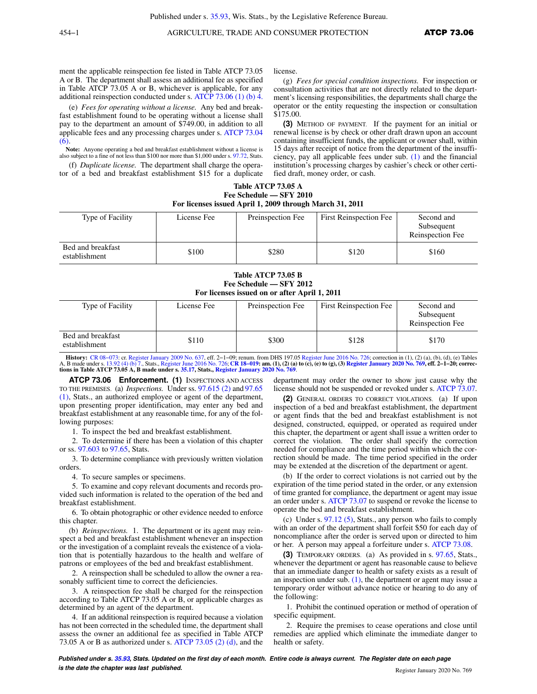ment the applicable reinspection fee listed in Table ATCP 73.05 A or B. The department shall assess an additional fee as specified in Table ATCP 73.05 A or B, whichever is applicable, for any additional reinspection conducted under s. [ATCP 73.06 \(1\) \(b\) 4.](https://docs.legis.wisconsin.gov/document/administrativecode/ATCP%2073.06(1)(b)4.)

(e) *Fees for operating without a license.* Any bed and breakfast establishment found to be operating without a license shall pay to the department an amount of \$749.00, in addition to all applicable fees and any processing charges under s. [ATCP 73.04](https://docs.legis.wisconsin.gov/document/administrativecode/ATCP%2073.04(6)) [\(6\)](https://docs.legis.wisconsin.gov/document/administrativecode/ATCP%2073.04(6)).

**Note:** Anyone operating a bed and breakfast establishment without a license is also subject to a fine of not less than \$100 nor more than \$1,000 under s. [97.72,](https://docs.legis.wisconsin.gov/document/statutes/97.72) Stats.

(f) *Duplicate license.* The department shall charge the operator of a bed and breakfast establishment \$15 for a duplicate license.

(g) *Fees for special condition inspections.* For inspection or consultation activities that are not directly related to the department's licensing responsibilities, the departments shall charge the operator or the entity requesting the inspection or consultation \$175.00.

**(3)** METHOD OF PAYMENT. If the payment for an initial or renewal license is by check or other draft drawn upon an account containing insufficient funds, the applicant or owner shall, within 15 days after receipt of notice from the department of the insufficiency, pay all applicable fees under sub. [\(1\)](https://docs.legis.wisconsin.gov/document/administrativecode/ATCP%2073.05(1)) and the financial institution's processing charges by cashier's check or other certified draft, money order, or cash.

| Table ATCP 73.05 A                                       |  |
|----------------------------------------------------------|--|
| Fee Schedule — SFY 2010                                  |  |
| For licenses issued April 1, 2009 through March 31, 2011 |  |

| Type of Facility                   | License Fee | Preinspection Fee | <b>First Reinspection Fee</b> | Second and<br>Subsequent<br>Reinspection Fee |
|------------------------------------|-------------|-------------------|-------------------------------|----------------------------------------------|
| Bed and breakfast<br>establishment | \$100       | \$280             | \$120                         | \$160                                        |

**Table ATCP 73.05 B Fee Schedule — SFY 2012 For licenses issued on or after April 1, 2011**

| Type of Facility                   | License Fee | Preinspection Fee | <b>First Reinspection Fee</b> | Second and<br>Subsequent<br>Reinspection Fee |
|------------------------------------|-------------|-------------------|-------------------------------|----------------------------------------------|
| Bed and breakfast<br>establishment | \$110       | \$300             | \$128                         | \$170                                        |

**History:** CR 08–073: cr. [Register January 2009 No. 637,](https://docs.legis.wisconsin.gov/document/register/637/B/toc) eff. 2–1–09; renum. from DHS 197.05 [Register June 2016 No. 726](https://docs.legis.wisconsin.gov/document/register/726/B/toc); correction in (1), (2) (a), (b), (d), (e) Tables<br>A, B made under s, 13.92 (4) (b) 7., Stats., Regist A, B made under s. [13.92 \(4\) \(b\) 7.](https://docs.legis.wisconsin.gov/document/statutes/13.92(4)(b)7.), Stats., [Register June 2016 No. 726](https://docs.legis.wisconsin.gov/document/register/726/B/toc); **[CR 18−019:](https://docs.legis.wisconsin.gov/document/cr/2018/19) am. (1), (2) (a) to (c), (e) to (g), (3) [Register January 2020 No. 769,](https://docs.legis.wisconsin.gov/document/register/769/B/toc) eff. 2−1−20; corrections in Table ATCP 73.05 A, B made under s. [35.17](https://docs.legis.wisconsin.gov/document/statutes/35.17), Stats., [Register January 2020 No. 769](https://docs.legis.wisconsin.gov/document/register/769/B/toc)**.

**ATCP 73.06 Enforcement. (1)** INSPECTIONS AND ACCESS TO THE PREMISES. (a) *Inspections.* Under ss. [97.615 \(2\)](https://docs.legis.wisconsin.gov/document/statutes/97.615(2)) and [97.65](https://docs.legis.wisconsin.gov/document/statutes/97.65(1)) [\(1\)](https://docs.legis.wisconsin.gov/document/statutes/97.65(1)), Stats., an authorized employee or agent of the department, upon presenting proper identification, may enter any bed and breakfast establishment at any reasonable time, for any of the following purposes:

1. To inspect the bed and breakfast establishment.

2. To determine if there has been a violation of this chapter or ss. [97.603](https://docs.legis.wisconsin.gov/document/statutes/97.603) to [97.65](https://docs.legis.wisconsin.gov/document/statutes/97.65), Stats.

3. To determine compliance with previously written violation orders.

4. To secure samples or specimens.

5. To examine and copy relevant documents and records provided such information is related to the operation of the bed and breakfast establishment.

6. To obtain photographic or other evidence needed to enforce this chapter.

(b) *Reinspections.* 1. The department or its agent may reinspect a bed and breakfast establishment whenever an inspection or the investigation of a complaint reveals the existence of a violation that is potentially hazardous to the health and welfare of patrons or employees of the bed and breakfast establishment.

2. A reinspection shall be scheduled to allow the owner a reasonably sufficient time to correct the deficiencies.

3. A reinspection fee shall be charged for the reinspection according to Table ATCP 73.05 A or B, or applicable charges as determined by an agent of the department.

4. If an additional reinspection is required because a violation has not been corrected in the scheduled time, the department shall assess the owner an additional fee as specified in Table ATCP 73.05 A or B as authorized under s. [ATCP 73.05 \(2\) \(d\),](https://docs.legis.wisconsin.gov/document/administrativecode/ATCP%2073.05(2)(d)) and the

department may order the owner to show just cause why the license should not be suspended or revoked under s. [ATCP 73.07.](https://docs.legis.wisconsin.gov/document/administrativecode/ATCP%2073.07)

**(2)** GENERAL ORDERS TO CORRECT VIOLATIONS. (a) If upon inspection of a bed and breakfast establishment, the department or agent finds that the bed and breakfast establishment is not designed, constructed, equipped, or operated as required under this chapter, the department or agent shall issue a written order to correct the violation. The order shall specify the correction needed for compliance and the time period within which the correction should be made. The time period specified in the order may be extended at the discretion of the department or agent.

(b) If the order to correct violations is not carried out by the expiration of the time period stated in the order, or any extension of time granted for compliance, the department or agent may issue an order under s. [ATCP 73.07](https://docs.legis.wisconsin.gov/document/administrativecode/ATCP%2073.07) to suspend or revoke the license to operate the bed and breakfast establishment.

(c) Under s. [97.12 \(5\),](https://docs.legis.wisconsin.gov/document/statutes/97.12(5)) Stats., any person who fails to comply with an order of the department shall forfeit \$50 for each day of noncompliance after the order is served upon or directed to him or her. A person may appeal a forfeiture under s. [ATCP 73.08](https://docs.legis.wisconsin.gov/document/administrativecode/ATCP%2073.08).

**(3)** TEMPORARY ORDERS. (a) As provided in s. [97.65](https://docs.legis.wisconsin.gov/document/statutes/97.65), Stats., whenever the department or agent has reasonable cause to believe that an immediate danger to health or safety exists as a result of an inspection under sub.  $(1)$ , the department or agent may issue a temporary order without advance notice or hearing to do any of the following:

1. Prohibit the continued operation or method of operation of specific equipment.

2. Require the premises to cease operations and close until remedies are applied which eliminate the immediate danger to health or safety.

**Published under s. [35.93,](https://docs.legis.wisconsin.gov/document/statutes/35.93) Stats. Updated on the first day of each month. Entire code is always current. The Register date on each page is the date the chapter was last published. Compared the chapter of the chapter of the date the chapter vasi and the set of the chapter of the chapter of the chapter of the chapter of the chapter of the chapter of the c**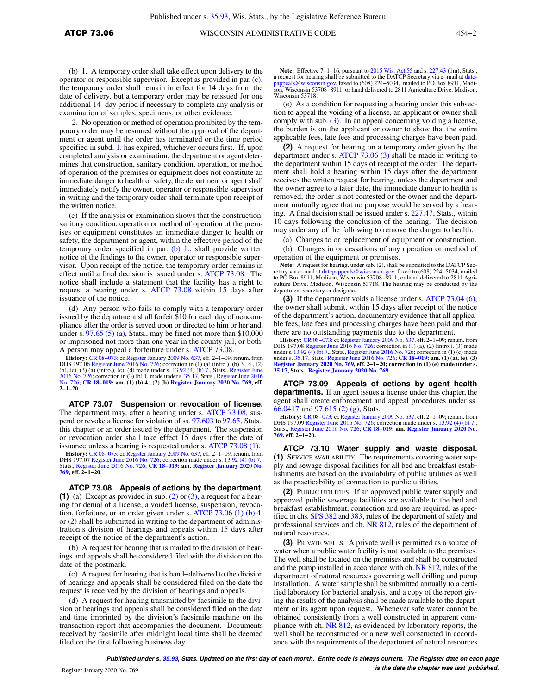(b) 1. A temporary order shall take effect upon delivery to the operator or responsible supervisor. Except as provided in par. [\(c\),](https://docs.legis.wisconsin.gov/document/administrativecode/ATCP%2073.06(3)(c)) the temporary order shall remain in effect for 14 days from the date of delivery, but a temporary order may be reissued for one additional 14−day period if necessary to complete any analysis or examination of samples, specimens, or other evidence.

2. No operation or method of operation prohibited by the temporary order may be resumed without the approval of the department or agent until the order has terminated or the time period specified in subd. [1.](https://docs.legis.wisconsin.gov/document/administrativecode/ATCP%2073.06(3)(b)1.) has expired, whichever occurs first. If, upon completed analysis or examination, the department or agent determines that construction, sanitary condition, operation, or method of operation of the premises or equipment does not constitute an immediate danger to health or safety, the department or agent shall immediately notify the owner, operator or responsible supervisor in writing and the temporary order shall terminate upon receipt of the written notice.

(c) If the analysis or examination shows that the construction, sanitary condition, operation or method of operation of the premises or equipment constitutes an immediate danger to health or safety, the department or agent, within the effective period of the temporary order specified in par. [\(b\) 1.](https://docs.legis.wisconsin.gov/document/administrativecode/ATCP%2073.06(3)(b)1.), shall provide written notice of the findings to the owner, operator or responsible supervisor. Upon receipt of the notice, the temporary order remains in effect until a final decision is issued under s. [ATCP 73.08](https://docs.legis.wisconsin.gov/document/administrativecode/ATCP%2073.08). The notice shall include a statement that the facility has a right to request a hearing under s. [ATCP 73.08](https://docs.legis.wisconsin.gov/document/administrativecode/ATCP%2073.08) within 15 days after issuance of the notice.

(d) Any person who fails to comply with a temporary order issued by the department shall forfeit \$10 for each day of noncompliance after the order is served upon or directed to him or her and, under s.  $97.65(5)(a)$ , Stats., may be fined not more than \$10,000 or imprisoned not more than one year in the county jail, or both. A person may appeal a forfeiture under s. [ATCP 73.08](https://docs.legis.wisconsin.gov/document/administrativecode/ATCP%2073.08).

**History:** CR 08–073: cr. [Register January 2009 No. 637](https://docs.legis.wisconsin.gov/document/register/637/B/toc), eff. 2–1–09; renum. from DHS 197.06 [Register June 2016 No. 726;](https://docs.legis.wisconsin.gov/document/register/726/B/toc) correction in (1) (a) (intro.), (b) 3, 4, (2)<br>(b), (c), (3) (a) (intro.), (c), (d) made under s. 13. [2016 No. 726](https://docs.legis.wisconsin.gov/document/register/726/B/toc); correction in (3) (b) 1. made under s. [35.17,](https://docs.legis.wisconsin.gov/document/statutes/35.17) Stats., [Register June 2016](https://docs.legis.wisconsin.gov/document/register/726/B/toc) [No. 726](https://docs.legis.wisconsin.gov/document/register/726/B/toc); **[CR 18−019](https://docs.legis.wisconsin.gov/document/cr/2018/19): am. (1) (b) 4., (2) (b) [Register January 2020 No. 769,](https://docs.legis.wisconsin.gov/document/register/769/B/toc) eff. 2−1−20**.

**ATCP 73.07 Suspension or revocation of license.** The department may, after a hearing under s. [ATCP 73.08](https://docs.legis.wisconsin.gov/document/administrativecode/ATCP%2073.08), suspend or revoke a license for violation of ss. [97.603](https://docs.legis.wisconsin.gov/document/statutes/97.603) to [97.65](https://docs.legis.wisconsin.gov/document/statutes/97.65), Stats., this chapter or an order issued by the department. The suspension or revocation order shall take effect 15 days after the date of issuance unless a hearing is requested under s. [ATCP 73.08 \(1\).](https://docs.legis.wisconsin.gov/document/administrativecode/ATCP%2073.08(1))

**History:** CR 08–073: cr. [Register January 2009 No. 637](https://docs.legis.wisconsin.gov/document/register/637/B/toc), eff. 2–1–09; renum. from<br>DHS 197.07 [Register June 2016 No. 726;](https://docs.legis.wisconsin.gov/document/register/726/B/toc) correction made under s. [13.92 \(4\) \(b\) 7.](https://docs.legis.wisconsin.gov/document/statutes/13.92(4)(b)7.),<br>Stats., Register June 2016 No. 726; **CR 18–019: am. Regist [769](https://docs.legis.wisconsin.gov/document/register/769/B/toc), eff. 2−1−20**.

**ATCP 73.08 Appeals of actions by the department. (1)** (a) Except as provided in sub. [\(2\)](https://docs.legis.wisconsin.gov/document/administrativecode/ATCP%2073.08(2)) or [\(3\)](https://docs.legis.wisconsin.gov/document/administrativecode/ATCP%2073.08(3)), a request for a hearing for denial of a license, a voided license, suspension, revocation, forfeiture, or an order given under s. [ATCP 73.06 \(1\) \(b\) 4.](https://docs.legis.wisconsin.gov/document/administrativecode/ATCP%2073.06(1)(b)4.) or [\(2\)](https://docs.legis.wisconsin.gov/document/administrativecode/ATCP%2073.06(2)) shall be submitted in writing to the department of administration's division of hearings and appeals within 15 days after receipt of the notice of the department's action.

(b) A request for hearing that is mailed to the division of hearings and appeals shall be considered filed with the division on the date of the postmark.

(c) A request for hearing that is hand−delivered to the division of hearings and appeals shall be considered filed on the date the request is received by the division of hearings and appeals.

(d) A request for hearing transmitted by facsimile to the division of hearings and appeals shall be considered filed on the date and time imprinted by the division's facsimile machine on the transaction report that accompanies the document. Documents received by facsimile after midnight local time shall be deemed filed on the first following business day.

Note: Effective 7–1–16, pursuant to [2015 Wis. Act 55](https://docs.legis.wisconsin.gov/document/acts/2015/55) and s. [227.43](https://docs.legis.wisconsin.gov/document/statutes/227.43) (1m), Stats., a request for hearing shall be submitted to the DATCP Secretary via e–mail at [datc](mailto:datcpappeals@wisconsin.gov)als@wisconsin.gov, faxed to (608) 224–5034, mailed to PO Box 8911, Madison, Wisconsin 53708–8911, or hand delivered to 2811 Agriculture Drive, Madison, Wisconsin 53718.

(e) As a condition for requesting a hearing under this subsection to appeal the voiding of a license, an applicant or owner shall comply with sub.  $(3)$ . In an appeal concerning voiding a license, the burden is on the applicant or owner to show that the entire applicable fees, late fees and processing charges have been paid.

**(2)** A request for hearing on a temporary order given by the department under s. [ATCP 73.06 \(3\)](https://docs.legis.wisconsin.gov/document/administrativecode/ATCP%2073.06(3)) shall be made in writing to the department within 15 days of receipt of the order. The department shall hold a hearing within 15 days after the department receives the written request for hearing, unless the department and the owner agree to a later date, the immediate danger to health is removed, the order is not contested or the owner and the department mutually agree that no purpose would be served by a hearing. A final decision shall be issued under s. [227.47,](https://docs.legis.wisconsin.gov/document/statutes/227.47) Stats., within 10 days following the conclusion of the hearing. The decision may order any of the following to remove the danger to health:

(a) Changes to or replacement of equipment or construction.

(b) Changes in or cessations of any operation or method of operation of the equipment or premises.

**Note:** A request for hearing, under sub. (2), shall be submitted to the DATCP Secretary via e–mail at datepappeals@wisconsin.gov, faxed to  $(608)$  224–5034, mailed to PO Box 8911, Madison, Wisconsin 53708–8911, or hand d department secretary or designee.

**(3)** If the department voids a license under s. [ATCP 73.04 \(6\),](https://docs.legis.wisconsin.gov/document/administrativecode/ATCP%2073.04(6)) the owner shall submit, within 15 days after receipt of the notice of the department's action, documentary evidence that all applicable fees, late fees and processing charges have been paid and that there are no outstanding payments due to the department.

**History:** [CR 08−073:](https://docs.legis.wisconsin.gov/document/cr/2008/73) cr. [Register January 2009 No. 637,](https://docs.legis.wisconsin.gov/document/register/637/B/toc) eff. 2−1−09; renum. from DHS 197.08 [Register June 2016 No. 726;](https://docs.legis.wisconsin.gov/document/register/726/B/toc) correction in (1) (a), (2) (intro.), (3) made<br>under s. [13.92 \(4\) \(b\) 7.](https://docs.legis.wisconsin.gov/document/statutes/13.92(4)(b)7.), Stats., Register June 2016 No. 726; correction in (1) (c) made<br>under s. [35.17,](https://docs.legis.wisconsin.gov/document/statutes/35.17) Stats., Register June 2016 No. **[Register January 2020 No. 769,](https://docs.legis.wisconsin.gov/document/register/769/B/toc) eff. 2−1−20; correction in (1) (e) made under s. [35.17,](https://docs.legis.wisconsin.gov/document/statutes/35.17) Stats., [Register January 2020 No. 769](https://docs.legis.wisconsin.gov/document/register/769/B/toc)**.

**ATCP 73.09 Appeals of actions by agent health departments.** If an agent issues a license under this chapter, the agent shall create enforcement and appeal procedures under ss. [66.0417](https://docs.legis.wisconsin.gov/document/statutes/66.0417) and [97.615 \(2\) \(g\),](https://docs.legis.wisconsin.gov/document/statutes/97.615(2)(g)) Stats.

**History:** CR 08–073: cr. [Register January 2009 No. 637,](https://docs.legis.wisconsin.gov/document/register/637/B/toc) eff. 2–1–09; renum. from<br>DHS 197.09 [Register June 2016 No. 726](https://docs.legis.wisconsin.gov/document/register/726/B/toc); correction made under s. [13.92 \(4\) \(b\) 7.](https://docs.legis.wisconsin.gov/document/statutes/13.92(4)(b)7.), Stats., [Register June 2016 No. 726;](https://docs.legis.wisconsin.gov/document/register/726/B/toc) CR 18–019: am. Registe

**ATCP 73.10 Water supply and waste disposal. (1)** SERVICE AVAILABILITY. The requirements covering water supply and sewage disposal facilities for all bed and breakfast establishments are based on the availability of public utilities as well as the practicability of connection to public utilities.

**(2)** PUBLIC UTILITIES. If an approved public water supply and approved public sewerage facilities are available to the bed and breakfast establishment, connection and use are required, as specified in chs. [SPS 382](https://docs.legis.wisconsin.gov/document/administrativecode/ch.%20SPS%20382) and [383](https://docs.legis.wisconsin.gov/document/administrativecode/ch.%20SPS%20383), rules of the department of safety and professional services and ch. [NR 812,](https://docs.legis.wisconsin.gov/document/administrativecode/ch.%20NR%20812) rules of the department of natural resources.

**(3)** PRIVATE WELLS. A private well is permitted as a source of water when a public water facility is not available to the premises. The well shall be located on the premises and shall be constructed and the pump installed in accordance with ch. [NR 812,](https://docs.legis.wisconsin.gov/document/administrativecode/ch.%20NR%20812) rules of the department of natural resources governing well drilling and pump installation. A water sample shall be submitted annually to a certified laboratory for bacterial analysis, and a copy of the report giving the results of the analysis shall be made available to the department or its agent upon request. Whenever safe water cannot be obtained consistently from a well constructed in apparent compliance with ch. [NR 812,](https://docs.legis.wisconsin.gov/document/administrativecode/ch.%20NR%20812) as evidenced by laboratory reports, the well shall be reconstructed or a new well constructed in accordance with the requirements of the department of natural resources

**Published under s. [35.93,](https://docs.legis.wisconsin.gov/document/statutes/35.93) Stats. Updated on the first day of each month. Entire code is always current. The Register date on each page is the date the chapter was last published.** Register January 2020 No. 769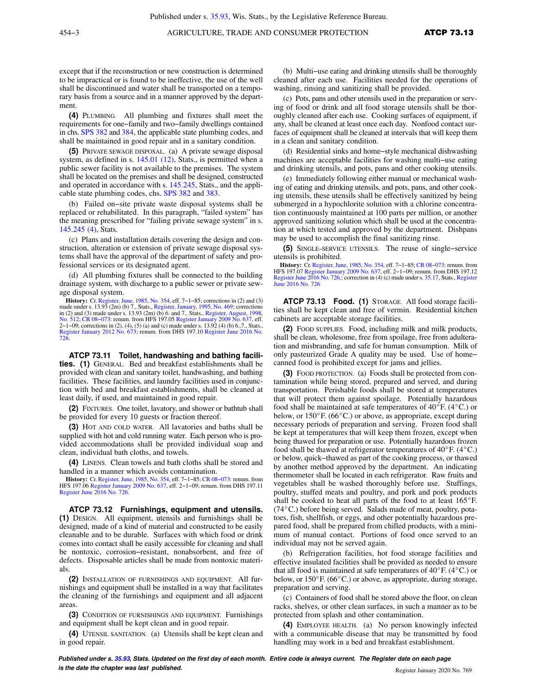except that if the reconstruction or new construction is determined to be impractical or is found to be ineffective, the use of the well shall be discontinued and water shall be transported on a temporary basis from a source and in a manner approved by the department.

**(4)** PLUMBING. All plumbing and fixtures shall meet the requirements for one−family and two−family dwellings contained in chs. [SPS 382](https://docs.legis.wisconsin.gov/document/administrativecode/ch.%20SPS%20382) and [384](https://docs.legis.wisconsin.gov/document/administrativecode/ch.%20SPS%20384), the applicable state plumbing codes, and shall be maintained in good repair and in a sanitary condition.

**(5)** PRIVATE SEWAGE DISPOSAL. (a) A private sewage disposal system, as defined in s. [145.01 \(12\)](https://docs.legis.wisconsin.gov/document/statutes/145.01(12)), Stats., is permitted when a public sewer facility is not available to the premises. The system shall be located on the premises and shall be designed, constructed and operated in accordance with s. [145.245,](https://docs.legis.wisconsin.gov/document/statutes/145.245) Stats., and the applicable state plumbing codes, chs. [SPS 382](https://docs.legis.wisconsin.gov/document/administrativecode/ch.%20SPS%20382) and [383.](https://docs.legis.wisconsin.gov/document/administrativecode/ch.%20SPS%20383)

(b) Failed on−site private waste disposal systems shall be replaced or rehabilitated. In this paragraph, "failed system" has the meaning prescribed for "failing private sewage system" in s. [145.245 \(4\)](https://docs.legis.wisconsin.gov/document/statutes/145.245(4)), Stats.

(c) Plans and installation details covering the design and construction, alteration or extension of private sewage disposal systems shall have the approval of the department of safety and professional services or its designated agent.

(d) All plumbing fixtures shall be connected to the building drainage system, with discharge to a public sewer or private sewage disposal system.

**History:** Cr. [Register, June, 1985, No. 354](https://docs.legis.wisconsin.gov/document/register/354/B/toc), eff. 7−1−85; corrections in (2) and (3) made under s. 13.93 (2m) (b) 7., Stats., [Register, January, 1995, No. 469;](https://docs.legis.wisconsin.gov/document/register/469/B/toc) corrections in (2) and (3) made under s. 13.93 (2m) (b) 6. and 7., Stats., [Register, August, 1998,](https://docs.legis.wisconsin.gov/document/register/512/B/toc) [No. 512](https://docs.legis.wisconsin.gov/document/register/512/B/toc); CR 08-073: renum. from HFS 197.05 [Register January 2009 No. 637](https://docs.legis.wisconsin.gov/document/register/637/B/toc), eff. 2−1−09; corrections in (2), (4), (5) (a) and (c) made under s. 13.92 (4) (b) 6.,7., Stats., [Register January 2012 No. 673;](https://docs.legis.wisconsin.gov/document/register/673/B/toc) renum. from DHS 197.10 [Register June 2016 No.](https://docs.legis.wisconsin.gov/document/register/726/B/toc) [726](https://docs.legis.wisconsin.gov/document/register/726/B/toc).

**ATCP 73.11 Toilet, handwashing and bathing facilities. (1)** GENERAL. Bed and breakfast establishments shall be provided with clean and sanitary toilet, handwashing, and bathing facilities. These facilities, and laundry facilities used in conjunction with bed and breakfast establishments, shall be cleaned at least daily, if used, and maintained in good repair.

**(2)** FIXTURES. One toilet, lavatory, and shower or bathtub shall be provided for every 10 guests or fraction thereof.

**(3)** HOT AND COLD WATER. All lavatories and baths shall be supplied with hot and cold running water. Each person who is provided accommodations shall be provided individual soap and clean, individual bath cloths, and towels.

**(4)** LINENS. Clean towels and bath cloths shall be stored and handled in a manner which avoids contamination.

**History:** Cr. [Register, June, 1985, No. 354,](https://docs.legis.wisconsin.gov/document/register/354/B/toc) eff. 7−1−85; [CR 08−073](https://docs.legis.wisconsin.gov/document/cr/2008/73): renum. from HFS 197.06 [Register January 2009 No. 637,](https://docs.legis.wisconsin.gov/document/register/637/B/toc) eff. 2−1−09; renum. from DHS 197.11 [Register June 2016 No. 726.](https://docs.legis.wisconsin.gov/document/register/726/B/toc)

**ATCP 73.12 Furnishings, equipment and utensils. (1)** DESIGN. All equipment, utensils and furnishings shall be designed, made of a kind of material and constructed to be easily cleanable and to be durable. Surfaces with which food or drink comes into contact shall be easily accessible for cleaning and shall be nontoxic, corrosion−resistant, nonabsorbent, and free of defects. Disposable articles shall be made from nontoxic materials.

**(2)** INSTALLATION OF FURNISHINGS AND EQUIPMENT. All furnishings and equipment shall be installed in a way that facilitates the cleaning of the furnishings and equipment and all adjacent areas.

**(3)** CONDITION OF FURNISHINGS AND EQUIPMENT. Furnishings and equipment shall be kept clean and in good repair.

**(4)** UTENSIL SANITATION. (a) Utensils shall be kept clean and in good repair.

(b) Multi−use eating and drinking utensils shall be thoroughly cleaned after each use. Facilities needed for the operations of washing, rinsing and sanitizing shall be provided.

(c) Pots, pans and other utensils used in the preparation or serving of food or drink and all food storage utensils shall be thoroughly cleaned after each use. Cooking surfaces of equipment, if any, shall be cleaned at least once each day. Nonfood contact surfaces of equipment shall be cleaned at intervals that will keep them in a clean and sanitary condition.

(d) Residential sinks and home−style mechanical dishwashing machines are acceptable facilities for washing multi−use eating and drinking utensils, and pots, pans and other cooking utensils.

(e) Immediately following either manual or mechanical washing of eating and drinking utensils, and pots, pans, and other cooking utensils, these utensils shall be effectively sanitized by being submerged in a hypochlorite solution with a chlorine concentration continuously maintained at 100 parts per million, or another approved sanitizing solution which shall be used at the concentration at which tested and approved by the department. Dishpans may be used to accomplish the final sanitizing rinse.

**(5)** SINGLE−SERVICE UTENSILS. The reuse of single−service utensils is prohibited.

**History:** Cr. [Register, June, 1985, No. 354](https://docs.legis.wisconsin.gov/document/register/354/B/toc), eff. 7−1−85; [CR 08−073:](https://docs.legis.wisconsin.gov/document/cr/2008/73) renum. from HFS 197.07 [Register January 2009 No. 637,](https://docs.legis.wisconsin.gov/document/register/637/B/toc) eff. 2−1−09; renum. from DHS 197.12 [Register June 2016 No. 726](https://docs.legis.wisconsin.gov/document/register/726/B/toc).; correction in (4) (c) made under s. [35.17](https://docs.legis.wisconsin.gov/document/statutes/35.17), Stats., [Register](https://docs.legis.wisconsin.gov/document/register/726/B/toc) [June 2016 No. 726](https://docs.legis.wisconsin.gov/document/register/726/B/toc)

**ATCP 73.13 Food. (1)** STORAGE. All food storage facilities shall be kept clean and free of vermin. Residential kitchen cabinets are acceptable storage facilities.

**(2)** FOOD SUPPLIES. Food, including milk and milk products, shall be clean, wholesome, free from spoilage, free from adulteration and misbranding, and safe for human consumption. Milk of only pasteurized Grade A quality may be used. Use of home− canned food is prohibited except for jams and jellies.

**(3)** FOOD PROTECTION. (a) Foods shall be protected from contamination while being stored, prepared and served, and during transportation. Perishable foods shall be stored at temperatures that will protect them against spoilage. Potentially hazardous food shall be maintained at safe temperatures of  $40^{\circ}$ F. (4 $^{\circ}$ C.) or below, or  $150^{\circ}$ F. (66 $^{\circ}$ C.) or above, as appropriate, except during necessary periods of preparation and serving. Frozen food shall be kept at temperatures that will keep them frozen, except when being thawed for preparation or use. Potentially hazardous frozen food shall be thawed at refrigerator temperatures of  $40^{\circ}$ F. ( $4^{\circ}$ C.) or below, quick−thawed as part of the cooking process, or thawed by another method approved by the department. An indicating thermometer shall be located in each refrigerator. Raw fruits and vegetables shall be washed thoroughly before use. Stuffings, poultry, stuffed meats and poultry, and pork and pork products shall be cooked to heat all parts of the food to at least  $165^{\circ}$ F. ( $74^{\circ}$ C.) before being served. Salads made of meat, poultry, potatoes, fish, shellfish, or eggs, and other potentially hazardous prepared food, shall be prepared from chilled products, with a minimum of manual contact. Portions of food once served to an individual may not be served again.

(b) Refrigeration facilities, hot food storage facilities and effective insulated facilities shall be provided as needed to ensure that all food is maintained at safe temperatures of  $40^{\circ}$ F. (4 $^{\circ}$ C.) or below, or  $150^{\circ}$  F. (66 $^{\circ}$ C.) or above, as appropriate, during storage, preparation and serving.

(c) Containers of food shall be stored above the floor, on clean racks, shelves, or other clean surfaces, in such a manner as to be protected from splash and other contamination.

**(4)** EMPLOYEE HEALTH. (a) No person knowingly infected with a communicable disease that may be transmitted by food handling may work in a bed and breakfast establishment.

**Published under s. [35.93,](https://docs.legis.wisconsin.gov/document/statutes/35.93) Stats. Updated on the first day of each month. Entire code is always current. The Register date on each page is the date the chapter was last published. is the date the chapter was last published.** Register January 2020 No. 769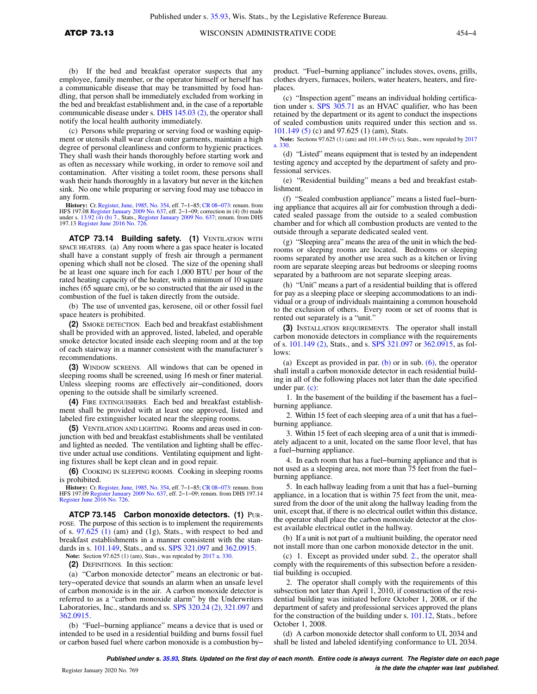(b) If the bed and breakfast operator suspects that any employee, family member, or the operator himself or herself has a communicable disease that may be transmitted by food handling, that person shall be immediately excluded from working in the bed and breakfast establishment and, in the case of a reportable communicable disease under s. [DHS 145.03 \(2\)](https://docs.legis.wisconsin.gov/document/administrativecode/DHS%20145.03(2)), the operator shall notify the local health authority immediately.

(c) Persons while preparing or serving food or washing equipment or utensils shall wear clean outer garments, maintain a high degree of personal cleanliness and conform to hygienic practices. They shall wash their hands thoroughly before starting work and as often as necessary while working, in order to remove soil and contamination. After visiting a toilet room, these persons shall wash their hands thoroughly in a lavatory but never in the kitchen sink. No one while preparing or serving food may use tobacco in any form.

**History:** Cr. [Register, June, 1985, No. 354,](https://docs.legis.wisconsin.gov/document/register/354/B/toc) eff. 7–1–85; CR 08–073: renum. from<br>HFS 197.08 [Register January 2009 No. 637](https://docs.legis.wisconsin.gov/document/register/637/B/toc), eff. 2–1–09; correction in (4) (b) made<br>under s. [13.92 \(4\) \(b\) 7.,](https://docs.legis.wisconsin.gov/document/statutes/13.92(4)(b)7.) Stats., Register January 2009 N 197.13 [Register June 2016 No. 726.](https://docs.legis.wisconsin.gov/document/register/726/B/toc)

**ATCP 73.14 Building safety. (1)** VENTILATION WITH SPACE HEATERS. (a) Any room where a gas space heater is located shall have a constant supply of fresh air through a permanent opening which shall not be closed. The size of the opening shall be at least one square inch for each 1,000 BTU per hour of the rated heating capacity of the heater, with a minimum of 10 square inches (65 square cm), or be so constructed that the air used in the combustion of the fuel is taken directly from the outside.

(b) The use of unvented gas, kerosene, oil or other fossil fuel space heaters is prohibited.

**(2)** SMOKE DETECTION. Each bed and breakfast establishment shall be provided with an approved, listed, labeled, and operable smoke detector located inside each sleeping room and at the top of each stairway in a manner consistent with the manufacturer's recommendations.

**(3)** WINDOW SCREENS. All windows that can be opened in sleeping rooms shall be screened, using 16 mesh or finer material. Unless sleeping rooms are effectively air−conditioned, doors opening to the outside shall be similarly screened.

**(4)** FIRE EXTINGUISHERS. Each bed and breakfast establishment shall be provided with at least one approved, listed and labeled fire extinguisher located near the sleeping rooms.

**(5)** VENTILATION AND LIGHTING. Rooms and areas used in conjunction with bed and breakfast establishments shall be ventilated and lighted as needed. The ventilation and lighting shall be effective under actual use conditions. Ventilating equipment and lighting fixtures shall be kept clean and in good repair.

**(6)** COOKING IN SLEEPING ROOMS. Cooking in sleeping rooms is prohibited.

**History:** Cr. [Register, June, 1985, No. 354,](https://docs.legis.wisconsin.gov/document/register/354/B/toc) eff. 7−1−85; [CR 08−073](https://docs.legis.wisconsin.gov/document/cr/2008/73): renum. from HFS 197.09 [Register January 2009 No. 637](https://docs.legis.wisconsin.gov/document/register/637/B/toc), eff. 2−1−09; renum. from DHS 197.14 [Register June 2016 No. 726.](https://docs.legis.wisconsin.gov/document/register/726/B/toc)

**ATCP 73.145 Carbon monoxide detectors. (1)** PUR-POSE. The purpose of this section is to implement the requirements of s.  $97.625$  (1) (am) and (1g), Stats., with respect to bed and breakfast establishments in a manner consistent with the standards in s. [101.149](https://docs.legis.wisconsin.gov/document/statutes/101.149), Stats., and ss. [SPS 321.097](https://docs.legis.wisconsin.gov/document/administrativecode/SPS%20321.097) and [362.0915.](https://docs.legis.wisconsin.gov/document/administrativecode/SPS%20362.0915)

**Note:** Section 97.625 (1) (am), Stats., was repealed by [2017 a. 330](https://docs.legis.wisconsin.gov/document/acts/2017/330).

**(2)** DEFINITIONS. In this section:

(a) "Carbon monoxide detector" means an electronic or battery−operated device that sounds an alarm when an unsafe level of carbon monoxide is in the air. A carbon monoxide detector is referred to as a "carbon monoxide alarm" by the Underwriters Laboratories, Inc., standards and ss. [SPS 320.24 \(2\)](https://docs.legis.wisconsin.gov/document/administrativecode/SPS%20320.24(2)), [321.097](https://docs.legis.wisconsin.gov/document/administrativecode/SPS%20321.097) and [362.0915.](https://docs.legis.wisconsin.gov/document/administrativecode/SPS%20362.0915)

(b) "Fuel−burning appliance" means a device that is used or intended to be used in a residential building and burns fossil fuel or carbon based fuel where carbon monoxide is a combustion by−

product. "Fuel−burning appliance" includes stoves, ovens, grills, clothes dryers, furnaces, boilers, water heaters, heaters, and fireplaces.

(c) "Inspection agent" means an individual holding certification under s. [SPS 305.71](https://docs.legis.wisconsin.gov/document/administrativecode/SPS%20305.71) as an HVAC qualifier, who has been retained by the department or its agent to conduct the inspections of sealed combustion units required under this section and ss. [101.149 \(5\)](https://docs.legis.wisconsin.gov/document/statutes/101.149(5)) (c) and 97.625 (1) (am), Stats.

**Note:** Sections 97.625 (1) (am) and 101.149 (5) (c), Stats., were repealed by [2017](https://docs.legis.wisconsin.gov/document/acts/2017/330) [a. 330](https://docs.legis.wisconsin.gov/document/acts/2017/330).

(d) "Listed" means equipment that is tested by an independent testing agency and accepted by the department of safety and professional services.

(e) "Residential building" means a bed and breakfast establishment.

(f) "Sealed combustion appliance" means a listed fuel−burning appliance that acquires all air for combustion through a dedicated sealed passage from the outside to a sealed combustion chamber and for which all combustion products are vented to the outside through a separate dedicated sealed vent.

(g) "Sleeping area" means the area of the unit in which the bedrooms or sleeping rooms are located. Bedrooms or sleeping rooms separated by another use area such as a kitchen or living room are separate sleeping areas but bedrooms or sleeping rooms separated by a bathroom are not separate sleeping areas.

(h) "Unit" means a part of a residential building that is offered for pay as a sleeping place or sleeping accommodations to an individual or a group of individuals maintaining a common household to the exclusion of others. Every room or set of rooms that is rented out separately is a "unit."

**(3)** INSTALLATION REQUIREMENTS. The operator shall install carbon monoxide detectors in compliance with the requirements of s. [101.149 \(2\)](https://docs.legis.wisconsin.gov/document/statutes/101.149(2)), Stats., and s. [SPS 321.097](https://docs.legis.wisconsin.gov/document/administrativecode/SPS%20321.097) or [362.0915,](https://docs.legis.wisconsin.gov/document/administrativecode/SPS%20362.0915) as follows:

(a) Except as provided in par. [\(b\)](https://docs.legis.wisconsin.gov/document/administrativecode/ATCP%2073.145(3)(b)) or in sub.  $(6)$ , the operator shall install a carbon monoxide detector in each residential building in all of the following places not later than the date specified under par. [\(c\):](https://docs.legis.wisconsin.gov/document/administrativecode/ATCP%2073.145(3)(c))

1. In the basement of the building if the basement has a fuel− burning appliance.

2. Within 15 feet of each sleeping area of a unit that has a fuel− burning appliance.

3. Within 15 feet of each sleeping area of a unit that is immediately adjacent to a unit, located on the same floor level, that has a fuel−burning appliance.

4. In each room that has a fuel−burning appliance and that is not used as a sleeping area, not more than 75 feet from the fuel− burning appliance.

5. In each hallway leading from a unit that has a fuel−burning appliance, in a location that is within 75 feet from the unit, measured from the door of the unit along the hallway leading from the unit, except that, if there is no electrical outlet within this distance, the operator shall place the carbon monoxide detector at the closest available electrical outlet in the hallway.

(b) If a unit is not part of a multiunit building, the operator need not install more than one carbon monoxide detector in the unit.

(c) 1. Except as provided under subd. [2.,](https://docs.legis.wisconsin.gov/document/administrativecode/ATCP%2073.145(3)(c)2.) the operator shall comply with the requirements of this subsection before a residential building is occupied.

2. The operator shall comply with the requirements of this subsection not later than April 1, 2010, if construction of the residential building was initiated before October 1, 2008, or if the department of safety and professional services approved the plans for the construction of the building under s. [101.12](https://docs.legis.wisconsin.gov/document/statutes/101.12), Stats., before October 1, 2008.

(d) A carbon monoxide detector shall conform to UL 2034 and shall be listed and labeled identifying conformance to UL 2034.

**Published under s. [35.93,](https://docs.legis.wisconsin.gov/document/statutes/35.93) Stats. Updated on the first day of each month. Entire code is always current. The Register date on each page is the date the chapter was last published.** Register January 2020 No. 769